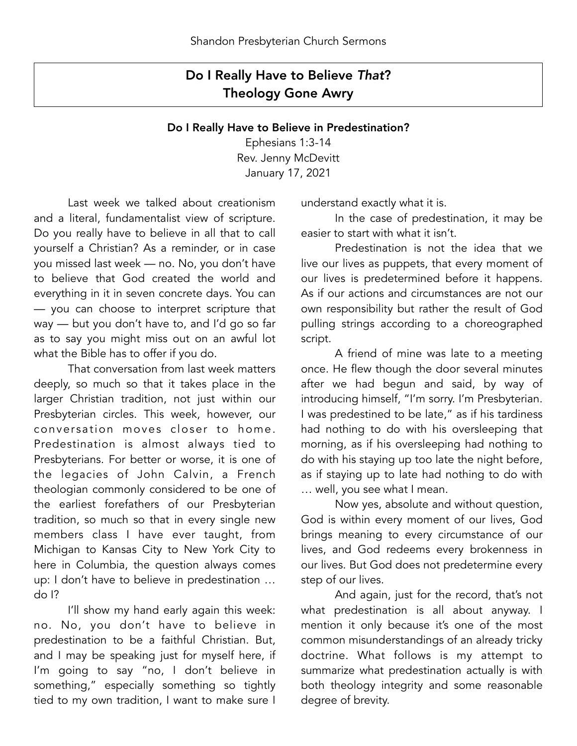## Do I Really Have to Believe *That*? Theology Gone Awry

## Do I Really Have to Believe in Predestination?

Ephesians 1:3-14 Rev. Jenny McDevitt January 17, 2021

 Last week we talked about creationism and a literal, fundamentalist view of scripture. Do you really have to believe in all that to call yourself a Christian? As a reminder, or in case you missed last week — no. No, you don't have to believe that God created the world and everything in it in seven concrete days. You can — you can choose to interpret scripture that way — but you don't have to, and I'd go so far as to say you might miss out on an awful lot what the Bible has to offer if you do.

 That conversation from last week matters deeply, so much so that it takes place in the larger Christian tradition, not just within our Presbyterian circles. This week, however, our conversation moves closer to home. Predestination is almost always tied to Presbyterians. For better or worse, it is one of the legacies of John Calvin, a French theologian commonly considered to be one of the earliest forefathers of our Presbyterian tradition, so much so that in every single new members class I have ever taught, from Michigan to Kansas City to New York City to here in Columbia, the question always comes up: I don't have to believe in predestination … do I?

 I'll show my hand early again this week: no. No, you don't have to believe in predestination to be a faithful Christian. But, and I may be speaking just for myself here, if I'm going to say "no, I don't believe in something," especially something so tightly tied to my own tradition, I want to make sure I understand exactly what it is.

 In the case of predestination, it may be easier to start with what it isn't.

 Predestination is not the idea that we live our lives as puppets, that every moment of our lives is predetermined before it happens. As if our actions and circumstances are not our own responsibility but rather the result of God pulling strings according to a choreographed script.

 A friend of mine was late to a meeting once. He flew though the door several minutes after we had begun and said, by way of introducing himself, "I'm sorry. I'm Presbyterian. I was predestined to be late," as if his tardiness had nothing to do with his oversleeping that morning, as if his oversleeping had nothing to do with his staying up too late the night before, as if staying up to late had nothing to do with … well, you see what I mean.

 Now yes, absolute and without question, God is within every moment of our lives, God brings meaning to every circumstance of our lives, and God redeems every brokenness in our lives. But God does not predetermine every step of our lives.

 And again, just for the record, that's not what predestination is all about anyway. I mention it only because it's one of the most common misunderstandings of an already tricky doctrine. What follows is my attempt to summarize what predestination actually is with both theology integrity and some reasonable degree of brevity.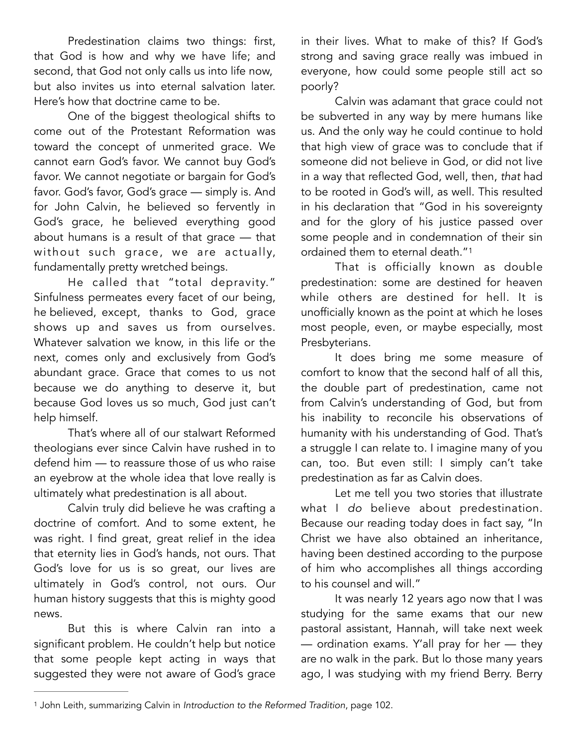Predestination claims two things: first, that God is how and why we have life; and second, that God not only calls us into life now, but also invites us into eternal salvation later. Here's how that doctrine came to be.

 One of the biggest theological shifts to come out of the Protestant Reformation was toward the concept of unmerited grace. We cannot earn God's favor. We cannot buy God's favor. We cannot negotiate or bargain for God's favor. God's favor, God's grace — simply is. And for John Calvin, he believed so fervently in God's grace, he believed everything good about humans is a result of that grace — that without such grace, we are actually, fundamentally pretty wretched beings.

 He called that "total depravity." Sinfulness permeates every facet of our being, he believed, except, thanks to God, grace shows up and saves us from ourselves. Whatever salvation we know, in this life or the next, comes only and exclusively from God's abundant grace. Grace that comes to us not because we do anything to deserve it, but because God loves us so much, God just can't help himself.

 That's where all of our stalwart Reformed theologians ever since Calvin have rushed in to defend him — to reassure those of us who raise an eyebrow at the whole idea that love really is ultimately what predestination is all about.

 Calvin truly did believe he was crafting a doctrine of comfort. And to some extent, he was right. I find great, great relief in the idea that eternity lies in God's hands, not ours. That God's love for us is so great, our lives are ultimately in God's control, not ours. Our human history suggests that this is mighty good news.

 But this is where Calvin ran into a significant problem. He couldn't help but notice that some people kept acting in ways that suggested they were not aware of God's grace in their lives. What to make of this? If God's strong and saving grace really was imbued in everyone, how could some people still act so poorly?

 Calvin was adamant that grace could not be subverted in any way by mere humans like us. And the only way he could continue to hold that high view of grace was to conclude that if someone did not believe in God, or did not live in a way that reflected God, well, then, *that* had to be rooted in God's will, as well. This resulted in his declaration that "God in his sovereignty and for the glory of his justice passed over some people and in condemnation of their sin ordained them to eternal death."<sup>1</sup>

<span id="page-1-1"></span> That is officially known as double predestination: some are destined for heaven while others are destined for hell. It is unofficially known as the point at which he loses most people, even, or maybe especially, most Presbyterians.

 It does bring me some measure of comfort to know that the second half of all this, the double part of predestination, came not from Calvin's understanding of God, but from his inability to reconcile his observations of humanity with his understanding of God. That's a struggle I can relate to. I imagine many of you can, too. But even still: I simply can't take predestination as far as Calvin does.

 Let me tell you two stories that illustrate what I *do* believe about predestination. Because our reading today does in fact say, "In Christ we have also obtained an inheritance, having been destined according to the purpose of him who accomplishes all things according to his counsel and will."

 It was nearly 12 years ago now that I was studying for the same exams that our new pastoral assistant, Hannah, will take next week — ordination exams. Y'all pray for her — they are no walk in the park. But lo those many years ago, I was studying with my friend Berry. Berry

<span id="page-1-0"></span><sup>&</sup>lt;sup>[1](#page-1-1)</sup> John Leith, summarizing Calvin in *Introduction to the Reformed Tradition*, page 102.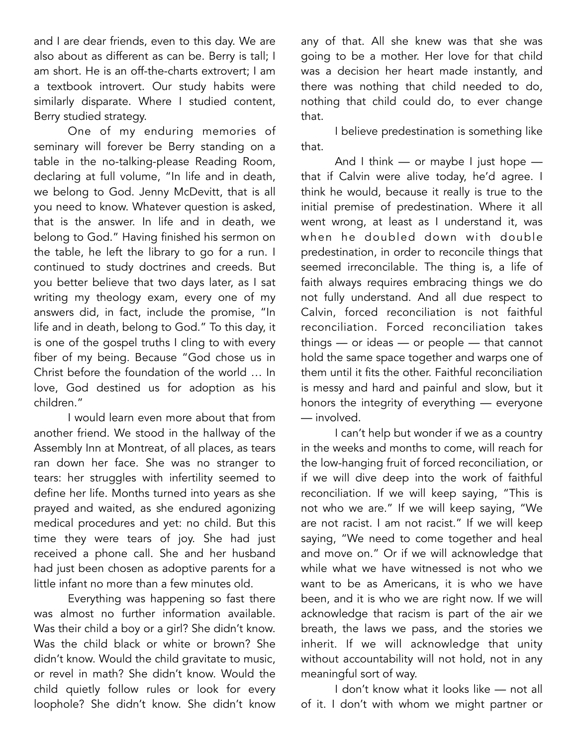and I are dear friends, even to this day. We are also about as different as can be. Berry is tall; I am short. He is an off-the-charts extrovert; I am a textbook introvert. Our study habits were similarly disparate. Where I studied content, Berry studied strategy.

 One of my enduring memories of seminary will forever be Berry standing on a table in the no-talking-please Reading Room, declaring at full volume, "In life and in death, we belong to God. Jenny McDevitt, that is all you need to know. Whatever question is asked, that is the answer. In life and in death, we belong to God." Having finished his sermon on the table, he left the library to go for a run. I continued to study doctrines and creeds. But you better believe that two days later, as I sat writing my theology exam, every one of my answers did, in fact, include the promise, "In life and in death, belong to God." To this day, it is one of the gospel truths I cling to with every fiber of my being. Because "God chose us in Christ before the foundation of the world … In love, God destined us for adoption as his children."

 I would learn even more about that from another friend. We stood in the hallway of the Assembly Inn at Montreat, of all places, as tears ran down her face. She was no stranger to tears: her struggles with infertility seemed to define her life. Months turned into years as she prayed and waited, as she endured agonizing medical procedures and yet: no child. But this time they were tears of joy. She had just received a phone call. She and her husband had just been chosen as adoptive parents for a little infant no more than a few minutes old.

 Everything was happening so fast there was almost no further information available. Was their child a boy or a girl? She didn't know. Was the child black or white or brown? She didn't know. Would the child gravitate to music, or revel in math? She didn't know. Would the child quietly follow rules or look for every loophole? She didn't know. She didn't know

any of that. All she knew was that she was going to be a mother. Her love for that child was a decision her heart made instantly, and there was nothing that child needed to do, nothing that child could do, to ever change that.

 I believe predestination is something like that.

And I think  $-$  or maybe I just hope  $$ that if Calvin were alive today, he'd agree. I think he would, because it really is true to the initial premise of predestination. Where it all went wrong, at least as I understand it, was when he doubled down with double predestination, in order to reconcile things that seemed irreconcilable. The thing is, a life of faith always requires embracing things we do not fully understand. And all due respect to Calvin, forced reconciliation is not faithful reconciliation. Forced reconciliation takes things — or ideas — or people — that cannot hold the same space together and warps one of them until it fits the other. Faithful reconciliation is messy and hard and painful and slow, but it honors the integrity of everything — everyone — involved.

 I can't help but wonder if we as a country in the weeks and months to come, will reach for the low-hanging fruit of forced reconciliation, or if we will dive deep into the work of faithful reconciliation. If we will keep saying, "This is not who we are." If we will keep saying, "We are not racist. I am not racist." If we will keep saying, "We need to come together and heal and move on." Or if we will acknowledge that while what we have witnessed is not who we want to be as Americans, it is who we have been, and it is who we are right now. If we will acknowledge that racism is part of the air we breath, the laws we pass, and the stories we inherit. If we will acknowledge that unity without accountability will not hold, not in any meaningful sort of way.

 I don't know what it looks like — not all of it. I don't with whom we might partner or